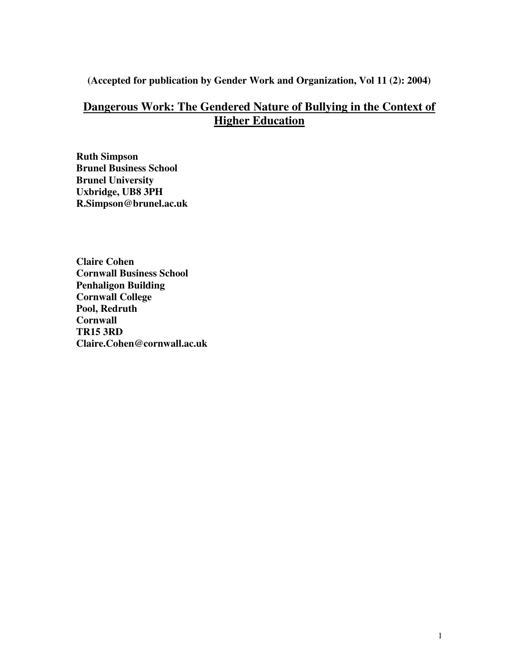**(Accepted for publication by Gender Work and Organization, Vol 11 (2): 2004)** 

# **Dangerous Work: The Gendered Nature of Bullying in the Context of Higher Education**

**Ruth Simpson Brunel Business School Brunel University Uxbridge, UB8 3PH R.Simpson@brunel.ac.uk** 

**Claire Cohen Cornwall Business School Penhaligon Building Cornwall College Pool, Redruth Cornwall TR15 3RD Claire.Cohen@cornwall.ac.uk**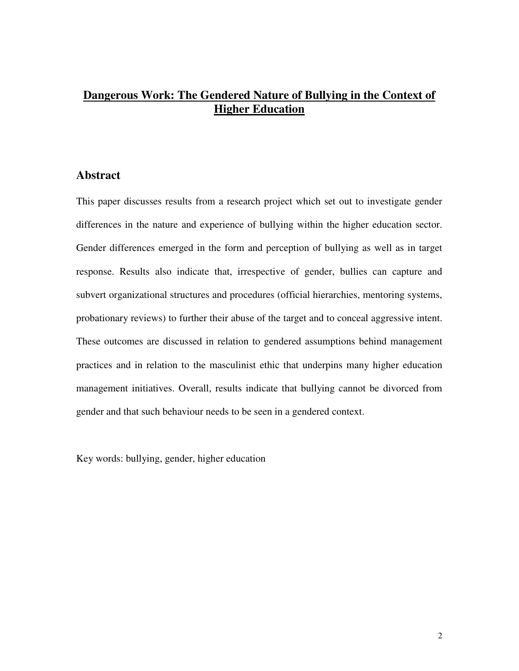# **Dangerous Work: The Gendered Nature of Bullying in the Context of Higher Education**

### **Abstract**

This paper discusses results from a research project which set out to investigate gender differences in the nature and experience of bullying within the higher education sector. Gender differences emerged in the form and perception of bullying as well as in target response. Results also indicate that, irrespective of gender, bullies can capture and subvert organizational structures and procedures (official hierarchies, mentoring systems, probationary reviews) to further their abuse of the target and to conceal aggressive intent. These outcomes are discussed in relation to gendered assumptions behind management practices and in relation to the masculinist ethic that underpins many higher education management initiatives. Overall, results indicate that bullying cannot be divorced from gender and that such behaviour needs to be seen in a gendered context.

Key words: bullying, gender, higher education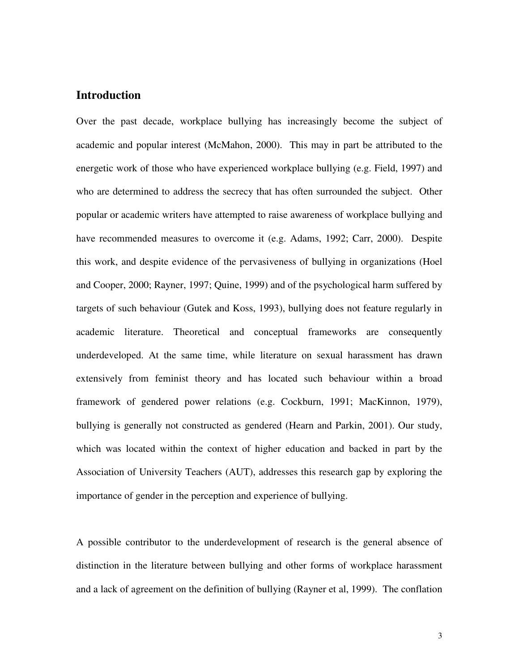### **Introduction**

Over the past decade, workplace bullying has increasingly become the subject of academic and popular interest (McMahon, 2000). This may in part be attributed to the energetic work of those who have experienced workplace bullying (e.g. Field, 1997) and who are determined to address the secrecy that has often surrounded the subject. Other popular or academic writers have attempted to raise awareness of workplace bullying and have recommended measures to overcome it (e.g. Adams, 1992; Carr, 2000). Despite this work, and despite evidence of the pervasiveness of bullying in organizations (Hoel and Cooper, 2000; Rayner, 1997; Quine, 1999) and of the psychological harm suffered by targets of such behaviour (Gutek and Koss, 1993), bullying does not feature regularly in academic literature. Theoretical and conceptual frameworks are consequently underdeveloped. At the same time, while literature on sexual harassment has drawn extensively from feminist theory and has located such behaviour within a broad framework of gendered power relations (e.g. Cockburn, 1991; MacKinnon, 1979), bullying is generally not constructed as gendered (Hearn and Parkin, 2001). Our study, which was located within the context of higher education and backed in part by the Association of University Teachers (AUT), addresses this research gap by exploring the importance of gender in the perception and experience of bullying.

A possible contributor to the underdevelopment of research is the general absence of distinction in the literature between bullying and other forms of workplace harassment and a lack of agreement on the definition of bullying (Rayner et al, 1999). The conflation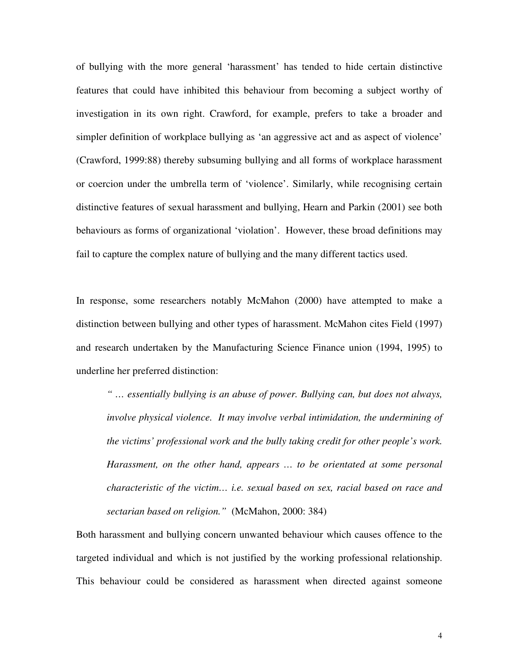of bullying with the more general 'harassment' has tended to hide certain distinctive features that could have inhibited this behaviour from becoming a subject worthy of investigation in its own right. Crawford, for example, prefers to take a broader and simpler definition of workplace bullying as 'an aggressive act and as aspect of violence' (Crawford, 1999:88) thereby subsuming bullying and all forms of workplace harassment or coercion under the umbrella term of 'violence'. Similarly, while recognising certain distinctive features of sexual harassment and bullying, Hearn and Parkin (2001) see both behaviours as forms of organizational 'violation'. However, these broad definitions may fail to capture the complex nature of bullying and the many different tactics used.

In response, some researchers notably McMahon (2000) have attempted to make a distinction between bullying and other types of harassment. McMahon cites Field (1997) and research undertaken by the Manufacturing Science Finance union (1994, 1995) to underline her preferred distinction:

*" … essentially bullying is an abuse of power. Bullying can, but does not always, involve physical violence. It may involve verbal intimidation, the undermining of the victims' professional work and the bully taking credit for other people's work. Harassment, on the other hand, appears … to be orientated at some personal characteristic of the victim… i.e. sexual based on sex, racial based on race and sectarian based on religion."* (McMahon, 2000: 384)

Both harassment and bullying concern unwanted behaviour which causes offence to the targeted individual and which is not justified by the working professional relationship. This behaviour could be considered as harassment when directed against someone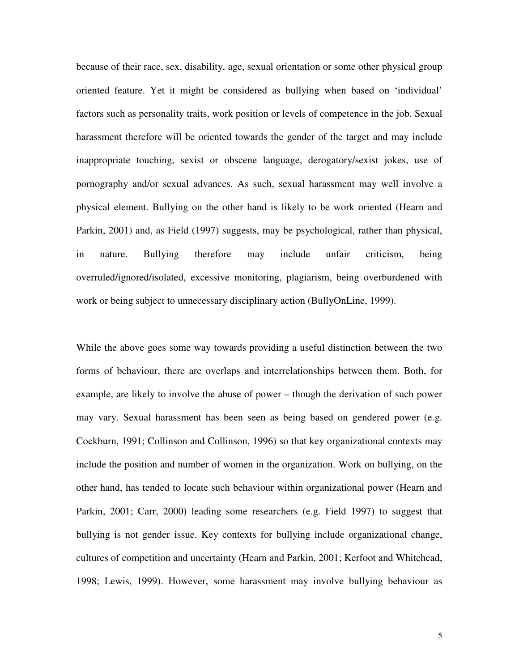because of their race, sex, disability, age, sexual orientation or some other physical group oriented feature. Yet it might be considered as bullying when based on 'individual' factors such as personality traits, work position or levels of competence in the job. Sexual harassment therefore will be oriented towards the gender of the target and may include inappropriate touching, sexist or obscene language, derogatory/sexist jokes, use of pornography and/or sexual advances. As such, sexual harassment may well involve a physical element. Bullying on the other hand is likely to be work oriented (Hearn and Parkin, 2001) and, as Field (1997) suggests, may be psychological, rather than physical, in nature. Bullying therefore may include unfair criticism, being overruled/ignored/isolated, excessive monitoring, plagiarism, being overburdened with work or being subject to unnecessary disciplinary action (BullyOnLine, 1999).

While the above goes some way towards providing a useful distinction between the two forms of behaviour, there are overlaps and interrelationships between them. Both, for example, are likely to involve the abuse of power – though the derivation of such power may vary. Sexual harassment has been seen as being based on gendered power (e.g. Cockburn, 1991; Collinson and Collinson, 1996) so that key organizational contexts may include the position and number of women in the organization. Work on bullying, on the other hand, has tended to locate such behaviour within organizational power (Hearn and Parkin, 2001; Carr, 2000) leading some researchers (e.g. Field 1997) to suggest that bullying is not gender issue. Key contexts for bullying include organizational change, cultures of competition and uncertainty (Hearn and Parkin, 2001; Kerfoot and Whitehead, 1998; Lewis, 1999). However, some harassment may involve bullying behaviour as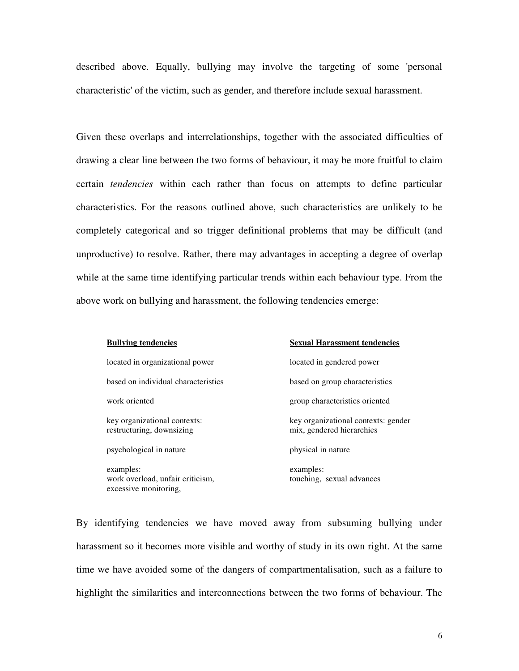described above. Equally, bullying may involve the targeting of some 'personal characteristic' of the victim, such as gender, and therefore include sexual harassment.

Given these overlaps and interrelationships, together with the associated difficulties of drawing a clear line between the two forms of behaviour, it may be more fruitful to claim certain *tendencies* within each rather than focus on attempts to define particular characteristics. For the reasons outlined above, such characteristics are unlikely to be completely categorical and so trigger definitional problems that may be difficult (and unproductive) to resolve. Rather, there may advantages in accepting a degree of overlap while at the same time identifying particular trends within each behaviour type. From the above work on bullying and harassment, the following tendencies emerge:

| located in organizational power                           | located in               |
|-----------------------------------------------------------|--------------------------|
| based on individual characteristics                       | based on g               |
| work oriented                                             | group chan               |
| key organizational contexts:<br>restructuring, downsizing | key organi<br>mix, gende |
| psychological in nature                                   | physical in              |
| examples:                                                 | examples:                |

excessive monitoring,

**Bullying tendencies** Sexual Harassment tendencies

located in gendered power s based on group characteristics group characteristics oriented key organizational contexts: gender mix, gendered hierarchies physical in nature

By identifying tendencies we have moved away from subsuming bullying under harassment so it becomes more visible and worthy of study in its own right. At the same time we have avoided some of the dangers of compartmentalisation, such as a failure to highlight the similarities and interconnections between the two forms of behaviour. The

work overload, unfair criticism, touching, sexual advances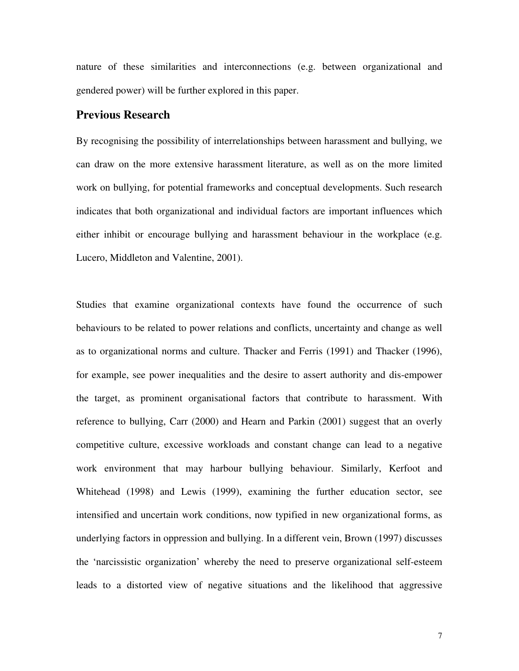nature of these similarities and interconnections (e.g. between organizational and gendered power) will be further explored in this paper.

#### **Previous Research**

By recognising the possibility of interrelationships between harassment and bullying, we can draw on the more extensive harassment literature, as well as on the more limited work on bullying, for potential frameworks and conceptual developments. Such research indicates that both organizational and individual factors are important influences which either inhibit or encourage bullying and harassment behaviour in the workplace (e.g. Lucero, Middleton and Valentine, 2001).

Studies that examine organizational contexts have found the occurrence of such behaviours to be related to power relations and conflicts, uncertainty and change as well as to organizational norms and culture. Thacker and Ferris (1991) and Thacker (1996), for example, see power inequalities and the desire to assert authority and dis-empower the target, as prominent organisational factors that contribute to harassment. With reference to bullying, Carr (2000) and Hearn and Parkin (2001) suggest that an overly competitive culture, excessive workloads and constant change can lead to a negative work environment that may harbour bullying behaviour. Similarly, Kerfoot and Whitehead (1998) and Lewis (1999), examining the further education sector, see intensified and uncertain work conditions, now typified in new organizational forms, as underlying factors in oppression and bullying. In a different vein, Brown (1997) discusses the 'narcissistic organization' whereby the need to preserve organizational self-esteem leads to a distorted view of negative situations and the likelihood that aggressive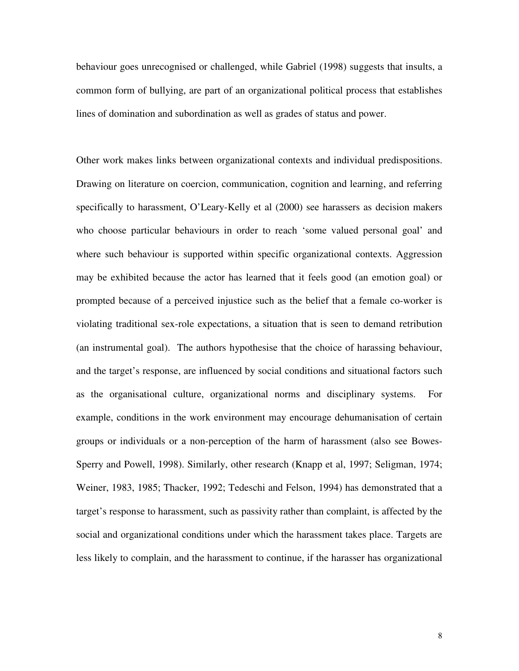behaviour goes unrecognised or challenged, while Gabriel (1998) suggests that insults, a common form of bullying, are part of an organizational political process that establishes lines of domination and subordination as well as grades of status and power.

Other work makes links between organizational contexts and individual predispositions. Drawing on literature on coercion, communication, cognition and learning, and referring specifically to harassment, O'Leary-Kelly et al (2000) see harassers as decision makers who choose particular behaviours in order to reach 'some valued personal goal' and where such behaviour is supported within specific organizational contexts. Aggression may be exhibited because the actor has learned that it feels good (an emotion goal) or prompted because of a perceived injustice such as the belief that a female co-worker is violating traditional sex-role expectations, a situation that is seen to demand retribution (an instrumental goal). The authors hypothesise that the choice of harassing behaviour, and the target's response, are influenced by social conditions and situational factors such as the organisational culture, organizational norms and disciplinary systems. For example, conditions in the work environment may encourage dehumanisation of certain groups or individuals or a non-perception of the harm of harassment (also see Bowes-Sperry and Powell, 1998). Similarly, other research (Knapp et al, 1997; Seligman, 1974; Weiner, 1983, 1985; Thacker, 1992; Tedeschi and Felson, 1994) has demonstrated that a target's response to harassment, such as passivity rather than complaint, is affected by the social and organizational conditions under which the harassment takes place. Targets are less likely to complain, and the harassment to continue, if the harasser has organizational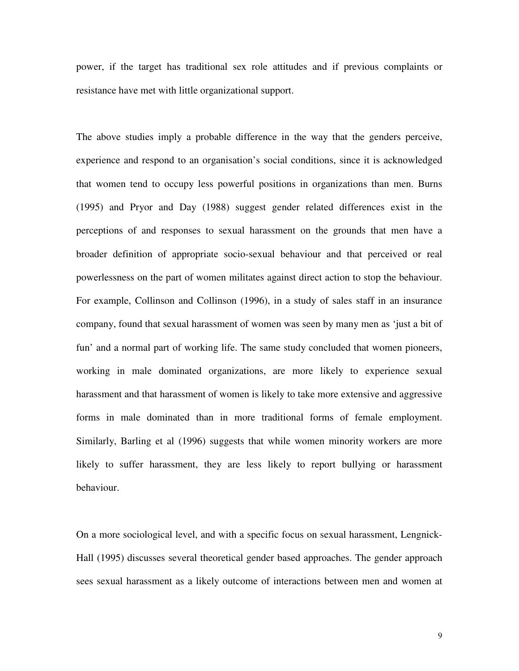power, if the target has traditional sex role attitudes and if previous complaints or resistance have met with little organizational support.

The above studies imply a probable difference in the way that the genders perceive, experience and respond to an organisation's social conditions, since it is acknowledged that women tend to occupy less powerful positions in organizations than men. Burns (1995) and Pryor and Day (1988) suggest gender related differences exist in the perceptions of and responses to sexual harassment on the grounds that men have a broader definition of appropriate socio-sexual behaviour and that perceived or real powerlessness on the part of women militates against direct action to stop the behaviour. For example, Collinson and Collinson (1996), in a study of sales staff in an insurance company, found that sexual harassment of women was seen by many men as 'just a bit of fun' and a normal part of working life. The same study concluded that women pioneers, working in male dominated organizations, are more likely to experience sexual harassment and that harassment of women is likely to take more extensive and aggressive forms in male dominated than in more traditional forms of female employment. Similarly, Barling et al (1996) suggests that while women minority workers are more likely to suffer harassment, they are less likely to report bullying or harassment behaviour.

On a more sociological level, and with a specific focus on sexual harassment, Lengnick-Hall (1995) discusses several theoretical gender based approaches. The gender approach sees sexual harassment as a likely outcome of interactions between men and women at

9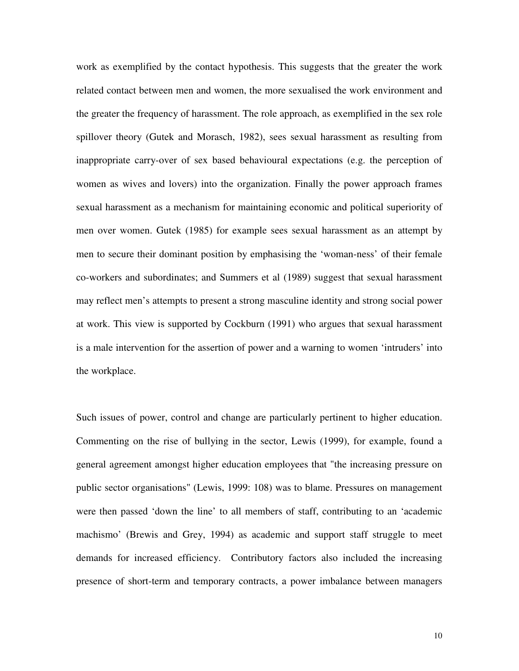work as exemplified by the contact hypothesis. This suggests that the greater the work related contact between men and women, the more sexualised the work environment and the greater the frequency of harassment. The role approach, as exemplified in the sex role spillover theory (Gutek and Morasch, 1982), sees sexual harassment as resulting from inappropriate carry-over of sex based behavioural expectations (e.g. the perception of women as wives and lovers) into the organization. Finally the power approach frames sexual harassment as a mechanism for maintaining economic and political superiority of men over women. Gutek (1985) for example sees sexual harassment as an attempt by men to secure their dominant position by emphasising the 'woman-ness' of their female co-workers and subordinates; and Summers et al (1989) suggest that sexual harassment may reflect men's attempts to present a strong masculine identity and strong social power at work. This view is supported by Cockburn (1991) who argues that sexual harassment is a male intervention for the assertion of power and a warning to women 'intruders' into the workplace.

Such issues of power, control and change are particularly pertinent to higher education. Commenting on the rise of bullying in the sector, Lewis (1999), for example, found a general agreement amongst higher education employees that "the increasing pressure on public sector organisations" (Lewis, 1999: 108) was to blame. Pressures on management were then passed 'down the line' to all members of staff, contributing to an 'academic machismo' (Brewis and Grey, 1994) as academic and support staff struggle to meet demands for increased efficiency. Contributory factors also included the increasing presence of short-term and temporary contracts, a power imbalance between managers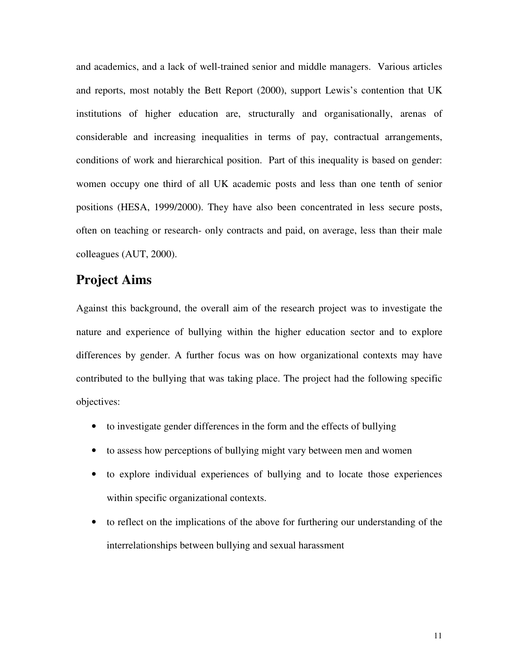and academics, and a lack of well-trained senior and middle managers. Various articles and reports, most notably the Bett Report (2000), support Lewis's contention that UK institutions of higher education are, structurally and organisationally, arenas of considerable and increasing inequalities in terms of pay, contractual arrangements, conditions of work and hierarchical position. Part of this inequality is based on gender: women occupy one third of all UK academic posts and less than one tenth of senior positions (HESA, 1999/2000). They have also been concentrated in less secure posts, often on teaching or research- only contracts and paid, on average, less than their male colleagues (AUT, 2000).

# **Project Aims**

Against this background, the overall aim of the research project was to investigate the nature and experience of bullying within the higher education sector and to explore differences by gender. A further focus was on how organizational contexts may have contributed to the bullying that was taking place. The project had the following specific objectives:

- to investigate gender differences in the form and the effects of bullying
- to assess how perceptions of bullying might vary between men and women
- to explore individual experiences of bullying and to locate those experiences within specific organizational contexts.
- to reflect on the implications of the above for furthering our understanding of the interrelationships between bullying and sexual harassment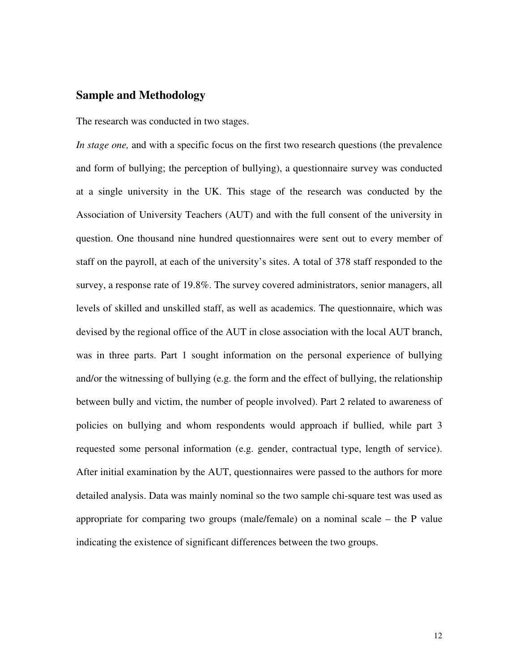## **Sample and Methodology**

The research was conducted in two stages.

*In stage one*, and with a specific focus on the first two research questions (the prevalence and form of bullying; the perception of bullying), a questionnaire survey was conducted at a single university in the UK. This stage of the research was conducted by the Association of University Teachers (AUT) and with the full consent of the university in question. One thousand nine hundred questionnaires were sent out to every member of staff on the payroll, at each of the university's sites. A total of 378 staff responded to the survey, a response rate of 19.8%. The survey covered administrators, senior managers, all levels of skilled and unskilled staff, as well as academics. The questionnaire, which was devised by the regional office of the AUT in close association with the local AUT branch, was in three parts. Part 1 sought information on the personal experience of bullying and/or the witnessing of bullying (e.g. the form and the effect of bullying, the relationship between bully and victim, the number of people involved). Part 2 related to awareness of policies on bullying and whom respondents would approach if bullied, while part 3 requested some personal information (e.g. gender, contractual type, length of service). After initial examination by the AUT, questionnaires were passed to the authors for more detailed analysis. Data was mainly nominal so the two sample chi-square test was used as appropriate for comparing two groups (male/female) on a nominal scale – the P value indicating the existence of significant differences between the two groups.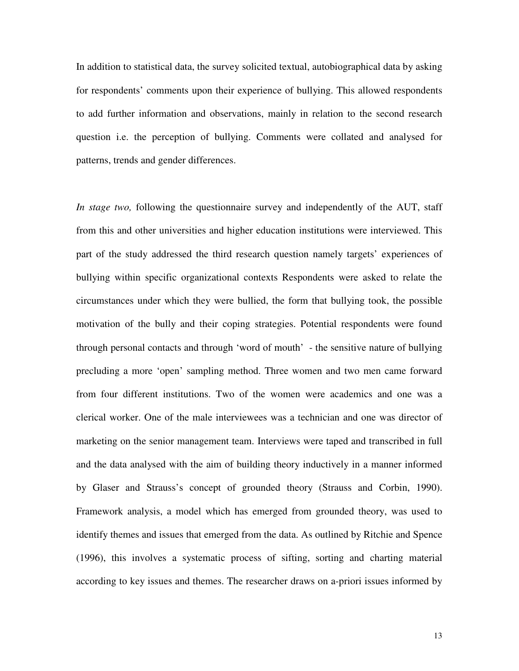In addition to statistical data, the survey solicited textual, autobiographical data by asking for respondents' comments upon their experience of bullying. This allowed respondents to add further information and observations, mainly in relation to the second research question i.e. the perception of bullying. Comments were collated and analysed for patterns, trends and gender differences.

*In stage two,* following the questionnaire survey and independently of the AUT, staff from this and other universities and higher education institutions were interviewed. This part of the study addressed the third research question namely targets' experiences of bullying within specific organizational contexts Respondents were asked to relate the circumstances under which they were bullied, the form that bullying took, the possible motivation of the bully and their coping strategies. Potential respondents were found through personal contacts and through 'word of mouth' - the sensitive nature of bullying precluding a more 'open' sampling method. Three women and two men came forward from four different institutions. Two of the women were academics and one was a clerical worker. One of the male interviewees was a technician and one was director of marketing on the senior management team. Interviews were taped and transcribed in full and the data analysed with the aim of building theory inductively in a manner informed by Glaser and Strauss's concept of grounded theory (Strauss and Corbin, 1990). Framework analysis, a model which has emerged from grounded theory, was used to identify themes and issues that emerged from the data. As outlined by Ritchie and Spence (1996), this involves a systematic process of sifting, sorting and charting material according to key issues and themes. The researcher draws on a-priori issues informed by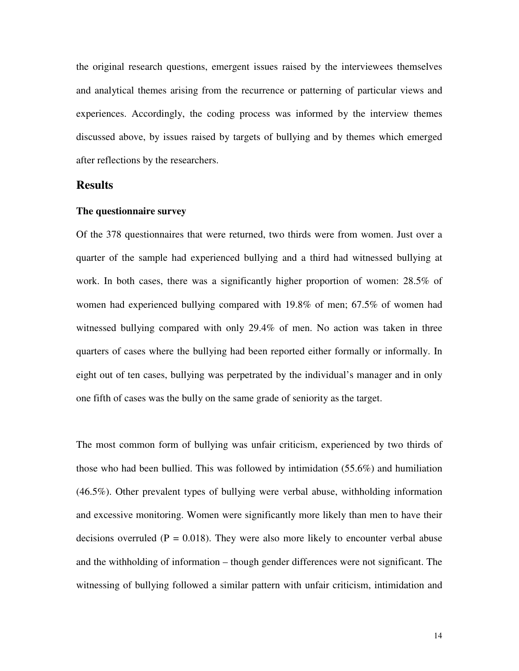the original research questions, emergent issues raised by the interviewees themselves and analytical themes arising from the recurrence or patterning of particular views and experiences. Accordingly, the coding process was informed by the interview themes discussed above, by issues raised by targets of bullying and by themes which emerged after reflections by the researchers.

#### **Results**

#### **The questionnaire survey**

Of the 378 questionnaires that were returned, two thirds were from women. Just over a quarter of the sample had experienced bullying and a third had witnessed bullying at work. In both cases, there was a significantly higher proportion of women: 28.5% of women had experienced bullying compared with 19.8% of men; 67.5% of women had witnessed bullying compared with only 29.4% of men. No action was taken in three quarters of cases where the bullying had been reported either formally or informally. In eight out of ten cases, bullying was perpetrated by the individual's manager and in only one fifth of cases was the bully on the same grade of seniority as the target.

The most common form of bullying was unfair criticism, experienced by two thirds of those who had been bullied. This was followed by intimidation (55.6%) and humiliation (46.5%). Other prevalent types of bullying were verbal abuse, withholding information and excessive monitoring. Women were significantly more likely than men to have their decisions overruled ( $P = 0.018$ ). They were also more likely to encounter verbal abuse and the withholding of information – though gender differences were not significant. The witnessing of bullying followed a similar pattern with unfair criticism, intimidation and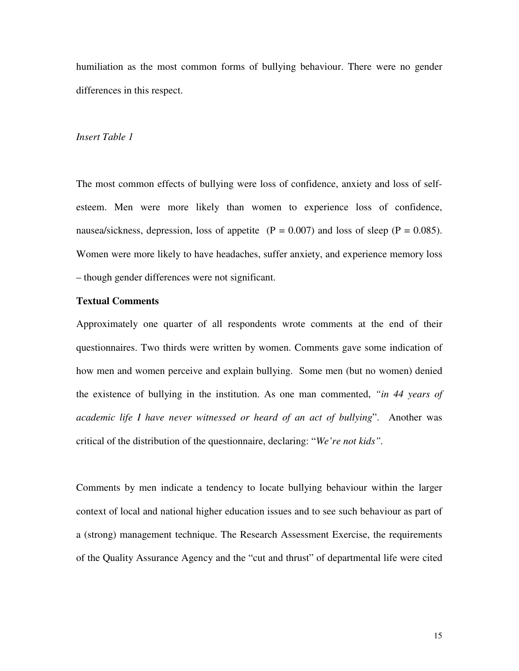humiliation as the most common forms of bullying behaviour. There were no gender differences in this respect.

#### *Insert Table 1*

The most common effects of bullying were loss of confidence, anxiety and loss of selfesteem. Men were more likely than women to experience loss of confidence, nausea/sickness, depression, loss of appetite  $(P = 0.007)$  and loss of sleep  $(P = 0.085)$ . Women were more likely to have headaches, suffer anxiety, and experience memory loss – though gender differences were not significant.

#### **Textual Comments**

Approximately one quarter of all respondents wrote comments at the end of their questionnaires. Two thirds were written by women. Comments gave some indication of how men and women perceive and explain bullying. Some men (but no women) denied the existence of bullying in the institution. As one man commented, *"in 44 years of academic life I have never witnessed or heard of an act of bullying*". Another was critical of the distribution of the questionnaire, declaring: "*We're not kids".*

Comments by men indicate a tendency to locate bullying behaviour within the larger context of local and national higher education issues and to see such behaviour as part of a (strong) management technique. The Research Assessment Exercise, the requirements of the Quality Assurance Agency and the "cut and thrust" of departmental life were cited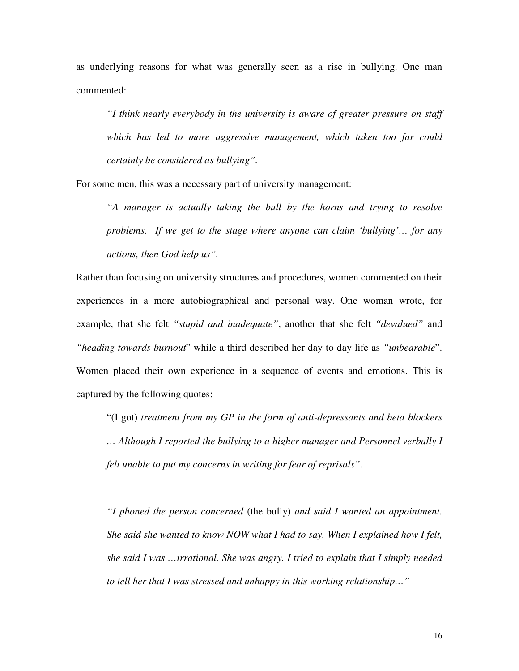as underlying reasons for what was generally seen as a rise in bullying. One man commented:

*"I think nearly everybody in the university is aware of greater pressure on staff which has led to more aggressive management, which taken too far could certainly be considered as bullying".* 

For some men, this was a necessary part of university management:

*"A manager is actually taking the bull by the horns and trying to resolve problems. If we get to the stage where anyone can claim 'bullying'… for any actions, then God help us".*

Rather than focusing on university structures and procedures, women commented on their experiences in a more autobiographical and personal way. One woman wrote, for example, that she felt *"stupid and inadequate"*, another that she felt *"devalued"* and *"heading towards burnout*" while a third described her day to day life as *"unbearable*". Women placed their own experience in a sequence of events and emotions. This is captured by the following quotes:

"(I got) *treatment from my GP in the form of anti-depressants and beta blockers … Although I reported the bullying to a higher manager and Personnel verbally I felt unable to put my concerns in writing for fear of reprisals".* 

*"I phoned the person concerned* (the bully) *and said I wanted an appointment. She said she wanted to know NOW what I had to say. When I explained how I felt, she said I was …irrational. She was angry. I tried to explain that I simply needed to tell her that I was stressed and unhappy in this working relationship…"*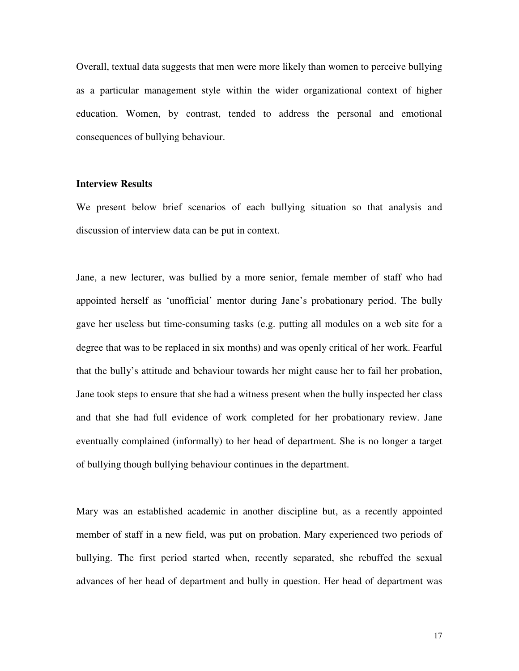Overall, textual data suggests that men were more likely than women to perceive bullying as a particular management style within the wider organizational context of higher education. Women, by contrast, tended to address the personal and emotional consequences of bullying behaviour.

#### **Interview Results**

We present below brief scenarios of each bullying situation so that analysis and discussion of interview data can be put in context.

Jane, a new lecturer, was bullied by a more senior, female member of staff who had appointed herself as 'unofficial' mentor during Jane's probationary period. The bully gave her useless but time-consuming tasks (e.g. putting all modules on a web site for a degree that was to be replaced in six months) and was openly critical of her work. Fearful that the bully's attitude and behaviour towards her might cause her to fail her probation, Jane took steps to ensure that she had a witness present when the bully inspected her class and that she had full evidence of work completed for her probationary review. Jane eventually complained (informally) to her head of department. She is no longer a target of bullying though bullying behaviour continues in the department.

Mary was an established academic in another discipline but, as a recently appointed member of staff in a new field, was put on probation. Mary experienced two periods of bullying. The first period started when, recently separated, she rebuffed the sexual advances of her head of department and bully in question. Her head of department was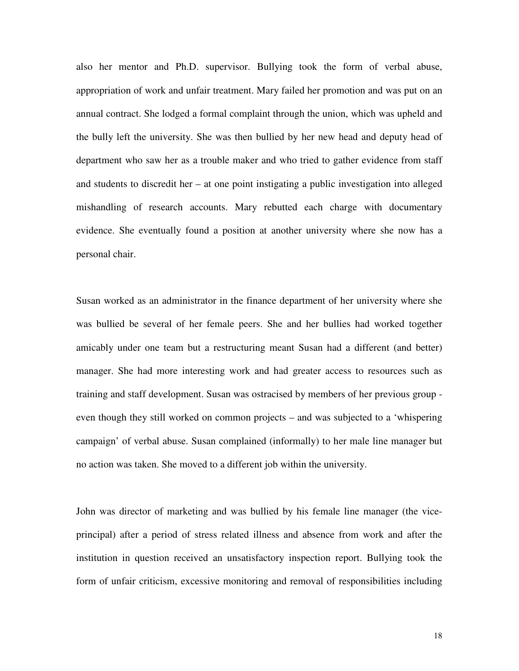also her mentor and Ph.D. supervisor. Bullying took the form of verbal abuse, appropriation of work and unfair treatment. Mary failed her promotion and was put on an annual contract. She lodged a formal complaint through the union, which was upheld and the bully left the university. She was then bullied by her new head and deputy head of department who saw her as a trouble maker and who tried to gather evidence from staff and students to discredit her – at one point instigating a public investigation into alleged mishandling of research accounts. Mary rebutted each charge with documentary evidence. She eventually found a position at another university where she now has a personal chair.

Susan worked as an administrator in the finance department of her university where she was bullied be several of her female peers. She and her bullies had worked together amicably under one team but a restructuring meant Susan had a different (and better) manager. She had more interesting work and had greater access to resources such as training and staff development. Susan was ostracised by members of her previous group even though they still worked on common projects – and was subjected to a 'whispering campaign' of verbal abuse. Susan complained (informally) to her male line manager but no action was taken. She moved to a different job within the university.

John was director of marketing and was bullied by his female line manager (the viceprincipal) after a period of stress related illness and absence from work and after the institution in question received an unsatisfactory inspection report. Bullying took the form of unfair criticism, excessive monitoring and removal of responsibilities including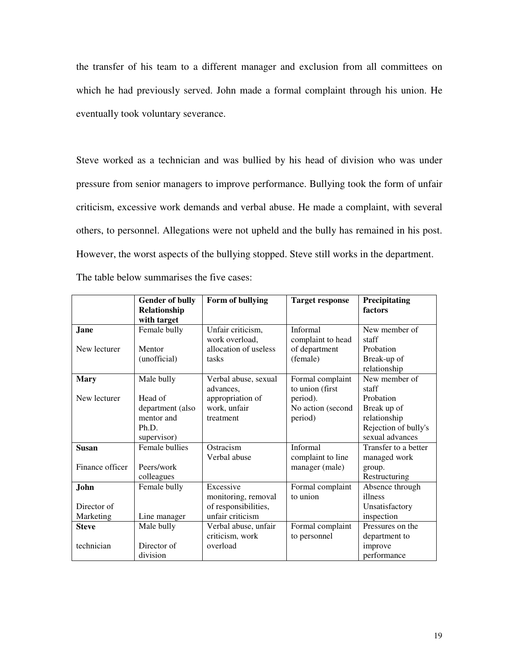the transfer of his team to a different manager and exclusion from all committees on which he had previously served. John made a formal complaint through his union. He eventually took voluntary severance.

Steve worked as a technician and was bullied by his head of division who was under pressure from senior managers to improve performance. Bullying took the form of unfair criticism, excessive work demands and verbal abuse. He made a complaint, with several others, to personnel. Allegations were not upheld and the bully has remained in his post. However, the worst aspects of the bullying stopped. Steve still works in the department. The table below summarises the five cases:

|                 | <b>Gender of bully</b><br>Relationship | Form of bullying      | <b>Target response</b> | Precipitating<br>factors |
|-----------------|----------------------------------------|-----------------------|------------------------|--------------------------|
|                 | with target                            |                       |                        |                          |
| <b>Jane</b>     | Female bully                           | Unfair criticism,     | Informal               | New member of            |
|                 |                                        | work overload,        | complaint to head      | staff                    |
| New lecturer    | Mentor                                 | allocation of useless | of department          | Probation                |
|                 | (unofficial)                           | tasks                 | (female)               | Break-up of              |
|                 |                                        |                       |                        | relationship             |
| <b>Mary</b>     | Male bully                             | Verbal abuse, sexual  | Formal complaint       | New member of            |
|                 |                                        | advances,             | to union (first        | staff                    |
| New lecturer    | Head of                                | appropriation of      | period).               | Probation                |
|                 | department (also                       | work, unfair          | No action (second      | Break up of              |
|                 | mentor and                             | treatment             | period)                | relationship             |
|                 | Ph.D.                                  |                       |                        | Rejection of bully's     |
|                 | supervisor)                            |                       |                        | sexual advances          |
| <b>Susan</b>    | Female bullies                         | Ostracism             | Informal               | Transfer to a better     |
|                 |                                        | Verbal abuse          | complaint to line      | managed work             |
| Finance officer | Peers/work                             |                       | manager (male)         | group.                   |
|                 | colleagues                             |                       |                        | Restructuring            |
| John            | Female bully                           | Excessive             | Formal complaint       | Absence through          |
|                 |                                        | monitoring, removal   | to union               | illness                  |
| Director of     |                                        | of responsibilities,  |                        | Unsatisfactory           |
| Marketing       | Line manager                           | unfair criticism      |                        | inspection               |
| <b>Steve</b>    | Male bully                             | Verbal abuse, unfair  | Formal complaint       | Pressures on the         |
|                 |                                        | criticism, work       | to personnel           | department to            |
| technician      | Director of                            | overload              |                        | improve                  |
|                 | division                               |                       |                        | performance              |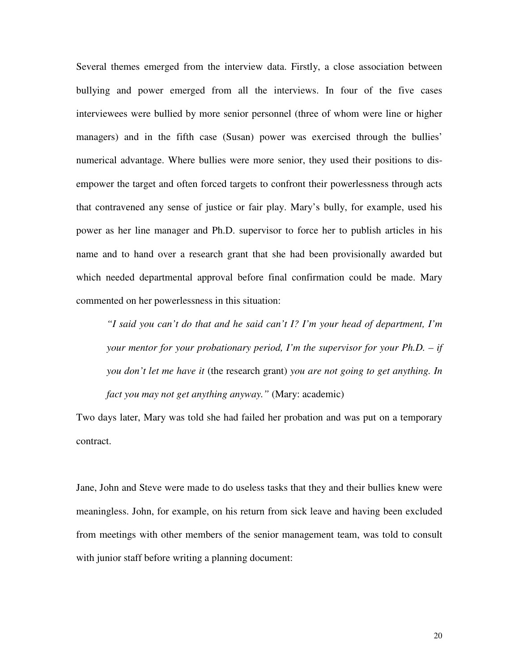Several themes emerged from the interview data. Firstly, a close association between bullying and power emerged from all the interviews. In four of the five cases interviewees were bullied by more senior personnel (three of whom were line or higher managers) and in the fifth case (Susan) power was exercised through the bullies' numerical advantage. Where bullies were more senior, they used their positions to disempower the target and often forced targets to confront their powerlessness through acts that contravened any sense of justice or fair play. Mary's bully, for example, used his power as her line manager and Ph.D. supervisor to force her to publish articles in his name and to hand over a research grant that she had been provisionally awarded but which needed departmental approval before final confirmation could be made. Mary commented on her powerlessness in this situation:

*"I said you can't do that and he said can't I? I'm your head of department, I'm your mentor for your probationary period, I'm the supervisor for your Ph.D. – if you don't let me have it* (the research grant) *you are not going to get anything. In fact you may not get anything anyway."* (Mary: academic)

Two days later, Mary was told she had failed her probation and was put on a temporary contract.

Jane, John and Steve were made to do useless tasks that they and their bullies knew were meaningless. John, for example, on his return from sick leave and having been excluded from meetings with other members of the senior management team, was told to consult with junior staff before writing a planning document: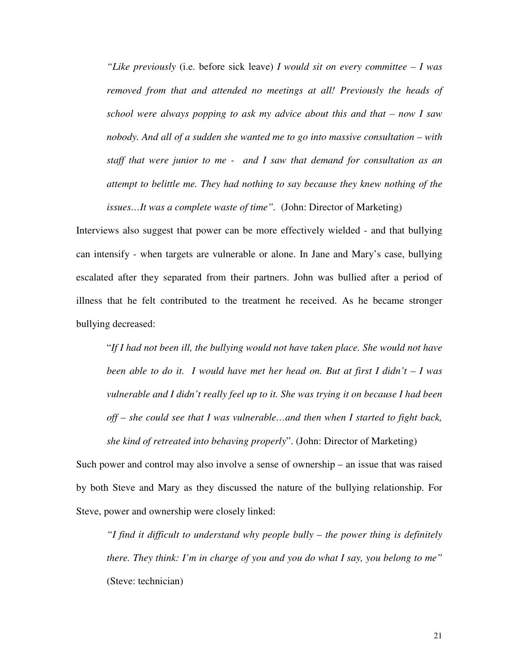*"Like previously* (i.e. before sick leave) *I would sit on every committee – I was removed from that and attended no meetings at all! Previously the heads of school were always popping to ask my advice about this and that – now I saw nobody. And all of a sudden she wanted me to go into massive consultation – with staff that were junior to me - and I saw that demand for consultation as an attempt to belittle me. They had nothing to say because they knew nothing of the issues…It was a complete waste of time".* (John: Director of Marketing)

Interviews also suggest that power can be more effectively wielded - and that bullying can intensify - when targets are vulnerable or alone. In Jane and Mary's case, bullying escalated after they separated from their partners. John was bullied after a period of illness that he felt contributed to the treatment he received. As he became stronger bullying decreased:

"*If I had not been ill, the bullying would not have taken place. She would not have been able to do it. I would have met her head on. But at first I didn't – I was vulnerable and I didn't really feel up to it. She was trying it on because I had been off – she could see that I was vulnerable…and then when I started to fight back, she kind of retreated into behaving properly*". (John: Director of Marketing)

Such power and control may also involve a sense of ownership – an issue that was raised by both Steve and Mary as they discussed the nature of the bullying relationship. For Steve, power and ownership were closely linked:

*"I find it difficult to understand why people bully – the power thing is definitely there. They think: I'm in charge of you and you do what I say, you belong to me"*  (Steve: technician)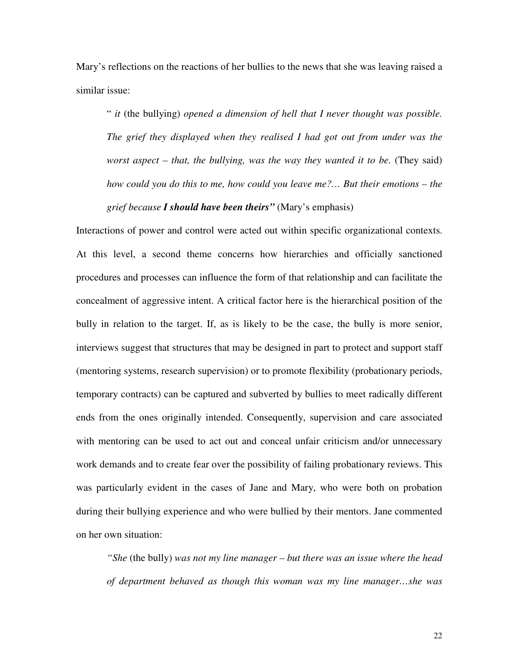Mary's reflections on the reactions of her bullies to the news that she was leaving raised a similar issue:

" *it* (the bullying) *opened a dimension of hell that I never thought was possible. The grief they displayed when they realised I had got out from under was the worst aspect – that, the bullying, was the way they wanted it to be.* (They said) *how could you do this to me, how could you leave me?… But their emotions – the grief because I should have been theirs"* (Mary's emphasis)

Interactions of power and control were acted out within specific organizational contexts. At this level, a second theme concerns how hierarchies and officially sanctioned procedures and processes can influence the form of that relationship and can facilitate the concealment of aggressive intent. A critical factor here is the hierarchical position of the bully in relation to the target. If, as is likely to be the case, the bully is more senior, interviews suggest that structures that may be designed in part to protect and support staff (mentoring systems, research supervision) or to promote flexibility (probationary periods, temporary contracts) can be captured and subverted by bullies to meet radically different ends from the ones originally intended. Consequently, supervision and care associated with mentoring can be used to act out and conceal unfair criticism and/or unnecessary work demands and to create fear over the possibility of failing probationary reviews. This was particularly evident in the cases of Jane and Mary, who were both on probation during their bullying experience and who were bullied by their mentors. Jane commented on her own situation:

*"She* (the bully) *was not my line manager – but there was an issue where the head of department behaved as though this woman was my line manager…she was*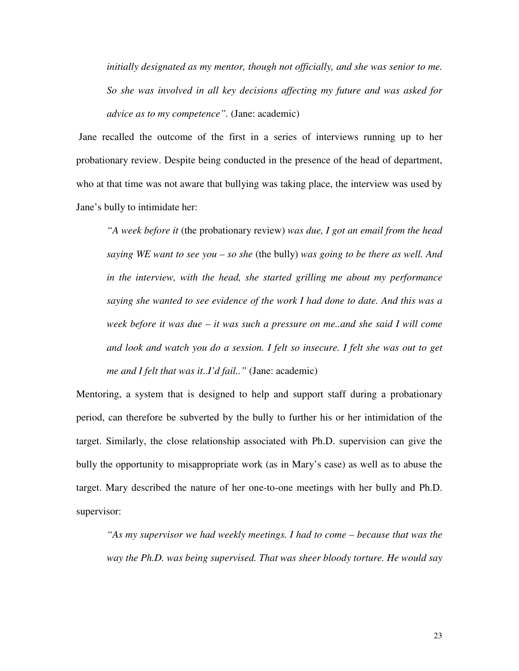*initially designated as my mentor, though not officially, and she was senior to me. So she was involved in all key decisions affecting my future and was asked for advice as to my competence".* (Jane: academic)

 Jane recalled the outcome of the first in a series of interviews running up to her probationary review. Despite being conducted in the presence of the head of department, who at that time was not aware that bullying was taking place, the interview was used by Jane's bully to intimidate her:

*"A week before it* (the probationary review) *was due, I got an email from the head saying WE want to see you – so she* (the bully) *was going to be there as well. And in the interview, with the head, she started grilling me about my performance saying she wanted to see evidence of the work I had done to date. And this was a week before it was due – it was such a pressure on me..and she said I will come and look and watch you do a session. I felt so insecure. I felt she was out to get me and I felt that was it*..*I'd fail.."* (Jane: academic)

Mentoring, a system that is designed to help and support staff during a probationary period, can therefore be subverted by the bully to further his or her intimidation of the target. Similarly, the close relationship associated with Ph.D. supervision can give the bully the opportunity to misappropriate work (as in Mary's case) as well as to abuse the target. Mary described the nature of her one-to-one meetings with her bully and Ph.D. supervisor:

*"As my supervisor we had weekly meetings. I had to come – because that was the way the Ph.D. was being supervised. That was sheer bloody torture. He would say*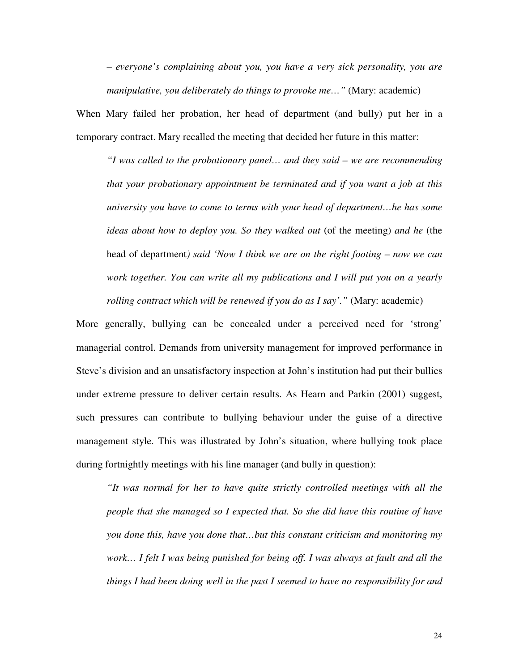*– everyone's complaining about you, you have a very sick personality, you are manipulative, you deliberately do things to provoke me...*" (Mary: academic)

When Mary failed her probation, her head of department (and bully) put her in a temporary contract. Mary recalled the meeting that decided her future in this matter:

*"I was called to the probationary panel… and they said – we are recommending that your probationary appointment be terminated and if you want a job at this university you have to come to terms with your head of department…he has some ideas about how to deploy you. So they walked out* (of the meeting) *and he* (the head of department*) said 'Now I think we are on the right footing – now we can work together. You can write all my publications and I will put you on a yearly rolling contract which will be renewed if you do as I say'.*" (Mary: academic)

More generally, bullying can be concealed under a perceived need for 'strong' managerial control. Demands from university management for improved performance in Steve's division and an unsatisfactory inspection at John's institution had put their bullies under extreme pressure to deliver certain results. As Hearn and Parkin (2001) suggest, such pressures can contribute to bullying behaviour under the guise of a directive management style. This was illustrated by John's situation, where bullying took place during fortnightly meetings with his line manager (and bully in question):

*"It was normal for her to have quite strictly controlled meetings with all the people that she managed so I expected that. So she did have this routine of have you done this, have you done that…but this constant criticism and monitoring my work… I felt I was being punished for being off. I was always at fault and all the things I had been doing well in the past I seemed to have no responsibility for and*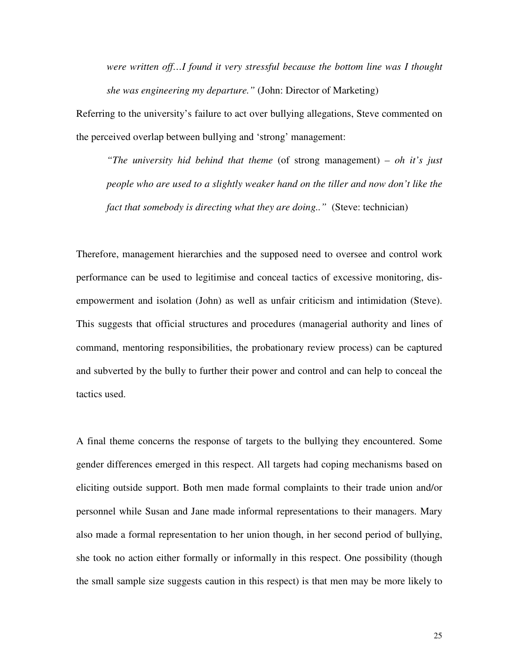*were written off…I found it very stressful because the bottom line was I thought she was engineering my departure."* (John: Director of Marketing)

Referring to the university's failure to act over bullying allegations, Steve commented on the perceived overlap between bullying and 'strong' management:

*"The university hid behind that theme* (of strong management) *– oh it's just people who are used to a slightly weaker hand on the tiller and now don't like the fact that somebody is directing what they are doing.."* (Steve: technician)

Therefore, management hierarchies and the supposed need to oversee and control work performance can be used to legitimise and conceal tactics of excessive monitoring, disempowerment and isolation (John) as well as unfair criticism and intimidation (Steve). This suggests that official structures and procedures (managerial authority and lines of command, mentoring responsibilities, the probationary review process) can be captured and subverted by the bully to further their power and control and can help to conceal the tactics used.

A final theme concerns the response of targets to the bullying they encountered. Some gender differences emerged in this respect. All targets had coping mechanisms based on eliciting outside support. Both men made formal complaints to their trade union and/or personnel while Susan and Jane made informal representations to their managers. Mary also made a formal representation to her union though, in her second period of bullying, she took no action either formally or informally in this respect. One possibility (though the small sample size suggests caution in this respect) is that men may be more likely to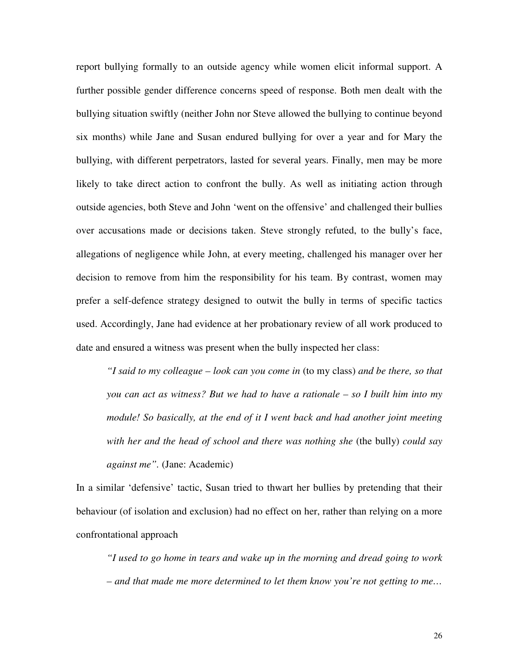report bullying formally to an outside agency while women elicit informal support. A further possible gender difference concerns speed of response. Both men dealt with the bullying situation swiftly (neither John nor Steve allowed the bullying to continue beyond six months) while Jane and Susan endured bullying for over a year and for Mary the bullying, with different perpetrators, lasted for several years. Finally, men may be more likely to take direct action to confront the bully. As well as initiating action through outside agencies, both Steve and John 'went on the offensive' and challenged their bullies over accusations made or decisions taken. Steve strongly refuted, to the bully's face, allegations of negligence while John, at every meeting, challenged his manager over her decision to remove from him the responsibility for his team. By contrast, women may prefer a self-defence strategy designed to outwit the bully in terms of specific tactics used. Accordingly, Jane had evidence at her probationary review of all work produced to date and ensured a witness was present when the bully inspected her class:

*"I said to my colleague – look can you come in* (to my class) *and be there, so that you can act as witness? But we had to have a rationale – so I built him into my module! So basically, at the end of it I went back and had another joint meeting with her and the head of school and there was nothing she* (the bully) *could say against me".* (Jane: Academic)

In a similar 'defensive' tactic, Susan tried to thwart her bullies by pretending that their behaviour (of isolation and exclusion) had no effect on her, rather than relying on a more confrontational approach

*"I used to go home in tears and wake up in the morning and dread going to work – and that made me more determined to let them know you're not getting to me…*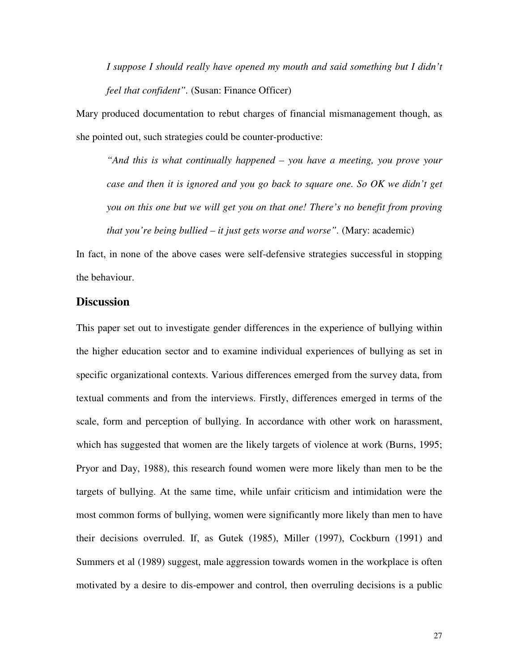*I suppose I should really have opened my mouth and said something but I didn't feel that confident".* (Susan: Finance Officer)

Mary produced documentation to rebut charges of financial mismanagement though, as she pointed out, such strategies could be counter-productive:

*"And this is what continually happened – you have a meeting, you prove your case and then it is ignored and you go back to square one. So OK we didn't get you on this one but we will get you on that one! There's no benefit from proving that you're being bullied – it just gets worse and worse".* (Mary: academic)

In fact, in none of the above cases were self-defensive strategies successful in stopping the behaviour.

#### **Discussion**

This paper set out to investigate gender differences in the experience of bullying within the higher education sector and to examine individual experiences of bullying as set in specific organizational contexts. Various differences emerged from the survey data, from textual comments and from the interviews. Firstly, differences emerged in terms of the scale, form and perception of bullying. In accordance with other work on harassment, which has suggested that women are the likely targets of violence at work (Burns, 1995; Pryor and Day, 1988), this research found women were more likely than men to be the targets of bullying. At the same time, while unfair criticism and intimidation were the most common forms of bullying, women were significantly more likely than men to have their decisions overruled. If, as Gutek (1985), Miller (1997), Cockburn (1991) and Summers et al (1989) suggest, male aggression towards women in the workplace is often motivated by a desire to dis-empower and control, then overruling decisions is a public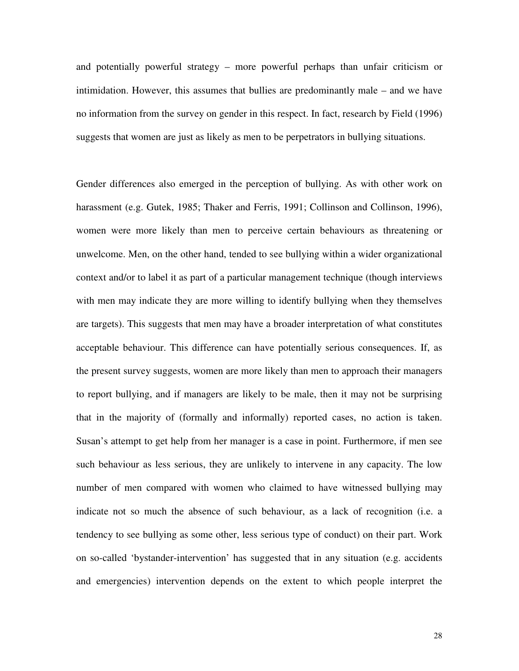and potentially powerful strategy – more powerful perhaps than unfair criticism or intimidation. However, this assumes that bullies are predominantly male – and we have no information from the survey on gender in this respect. In fact, research by Field (1996) suggests that women are just as likely as men to be perpetrators in bullying situations.

Gender differences also emerged in the perception of bullying. As with other work on harassment (e.g. Gutek, 1985; Thaker and Ferris, 1991; Collinson and Collinson, 1996), women were more likely than men to perceive certain behaviours as threatening or unwelcome. Men, on the other hand, tended to see bullying within a wider organizational context and/or to label it as part of a particular management technique (though interviews with men may indicate they are more willing to identify bullying when they themselves are targets). This suggests that men may have a broader interpretation of what constitutes acceptable behaviour. This difference can have potentially serious consequences. If, as the present survey suggests, women are more likely than men to approach their managers to report bullying, and if managers are likely to be male, then it may not be surprising that in the majority of (formally and informally) reported cases, no action is taken. Susan's attempt to get help from her manager is a case in point. Furthermore, if men see such behaviour as less serious, they are unlikely to intervene in any capacity. The low number of men compared with women who claimed to have witnessed bullying may indicate not so much the absence of such behaviour, as a lack of recognition (i.e. a tendency to see bullying as some other, less serious type of conduct) on their part. Work on so-called 'bystander-intervention' has suggested that in any situation (e.g. accidents and emergencies) intervention depends on the extent to which people interpret the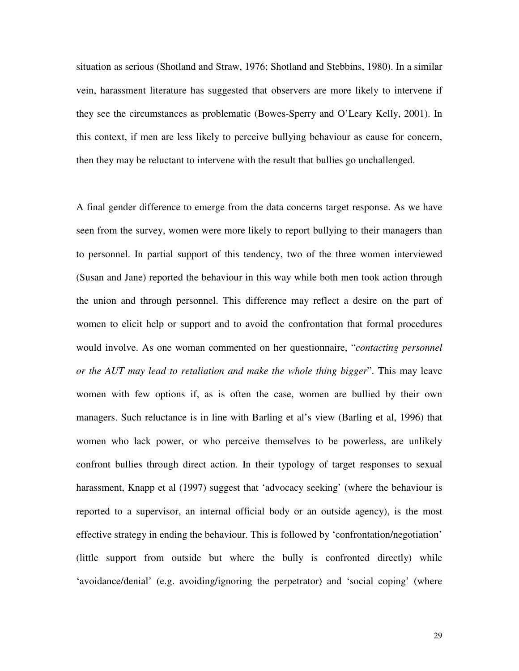situation as serious (Shotland and Straw, 1976; Shotland and Stebbins, 1980). In a similar vein, harassment literature has suggested that observers are more likely to intervene if they see the circumstances as problematic (Bowes-Sperry and O'Leary Kelly, 2001). In this context, if men are less likely to perceive bullying behaviour as cause for concern, then they may be reluctant to intervene with the result that bullies go unchallenged.

A final gender difference to emerge from the data concerns target response. As we have seen from the survey, women were more likely to report bullying to their managers than to personnel. In partial support of this tendency, two of the three women interviewed (Susan and Jane) reported the behaviour in this way while both men took action through the union and through personnel. This difference may reflect a desire on the part of women to elicit help or support and to avoid the confrontation that formal procedures would involve. As one woman commented on her questionnaire, "*contacting personnel or the AUT may lead to retaliation and make the whole thing bigger*". This may leave women with few options if, as is often the case, women are bullied by their own managers. Such reluctance is in line with Barling et al's view (Barling et al, 1996) that women who lack power, or who perceive themselves to be powerless, are unlikely confront bullies through direct action. In their typology of target responses to sexual harassment, Knapp et al (1997) suggest that 'advocacy seeking' (where the behaviour is reported to a supervisor, an internal official body or an outside agency), is the most effective strategy in ending the behaviour. This is followed by 'confrontation/negotiation' (little support from outside but where the bully is confronted directly) while 'avoidance/denial' (e.g. avoiding/ignoring the perpetrator) and 'social coping' (where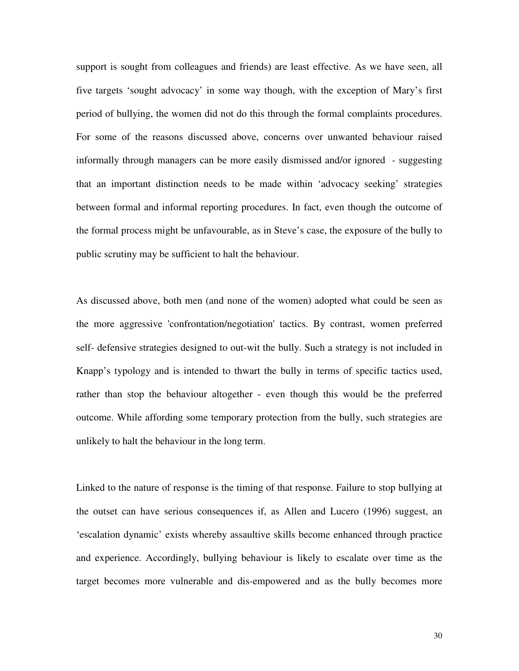support is sought from colleagues and friends) are least effective. As we have seen, all five targets 'sought advocacy' in some way though, with the exception of Mary's first period of bullying, the women did not do this through the formal complaints procedures. For some of the reasons discussed above, concerns over unwanted behaviour raised informally through managers can be more easily dismissed and/or ignored - suggesting that an important distinction needs to be made within 'advocacy seeking' strategies between formal and informal reporting procedures. In fact, even though the outcome of the formal process might be unfavourable, as in Steve's case, the exposure of the bully to public scrutiny may be sufficient to halt the behaviour.

As discussed above, both men (and none of the women) adopted what could be seen as the more aggressive 'confrontation/negotiation' tactics. By contrast, women preferred self- defensive strategies designed to out-wit the bully. Such a strategy is not included in Knapp's typology and is intended to thwart the bully in terms of specific tactics used, rather than stop the behaviour altogether - even though this would be the preferred outcome. While affording some temporary protection from the bully, such strategies are unlikely to halt the behaviour in the long term.

Linked to the nature of response is the timing of that response. Failure to stop bullying at the outset can have serious consequences if, as Allen and Lucero (1996) suggest, an 'escalation dynamic' exists whereby assaultive skills become enhanced through practice and experience. Accordingly, bullying behaviour is likely to escalate over time as the target becomes more vulnerable and dis-empowered and as the bully becomes more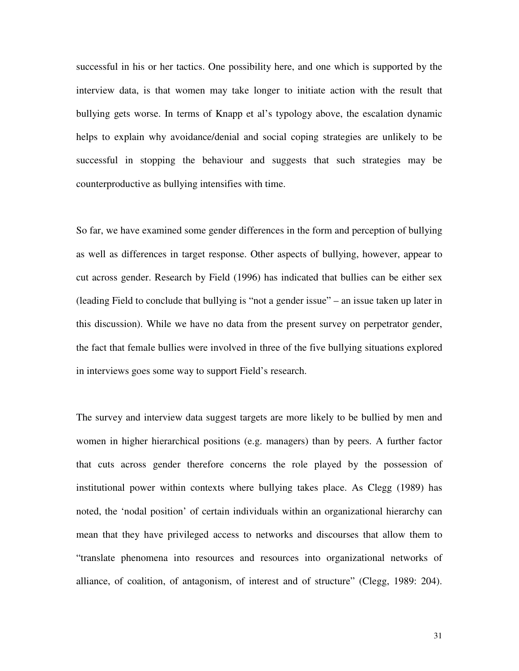successful in his or her tactics. One possibility here, and one which is supported by the interview data, is that women may take longer to initiate action with the result that bullying gets worse. In terms of Knapp et al's typology above, the escalation dynamic helps to explain why avoidance/denial and social coping strategies are unlikely to be successful in stopping the behaviour and suggests that such strategies may be counterproductive as bullying intensifies with time.

So far, we have examined some gender differences in the form and perception of bullying as well as differences in target response. Other aspects of bullying, however, appear to cut across gender. Research by Field (1996) has indicated that bullies can be either sex (leading Field to conclude that bullying is "not a gender issue" – an issue taken up later in this discussion). While we have no data from the present survey on perpetrator gender, the fact that female bullies were involved in three of the five bullying situations explored in interviews goes some way to support Field's research.

The survey and interview data suggest targets are more likely to be bullied by men and women in higher hierarchical positions (e.g. managers) than by peers. A further factor that cuts across gender therefore concerns the role played by the possession of institutional power within contexts where bullying takes place. As Clegg (1989) has noted, the 'nodal position' of certain individuals within an organizational hierarchy can mean that they have privileged access to networks and discourses that allow them to "translate phenomena into resources and resources into organizational networks of alliance, of coalition, of antagonism, of interest and of structure" (Clegg, 1989: 204).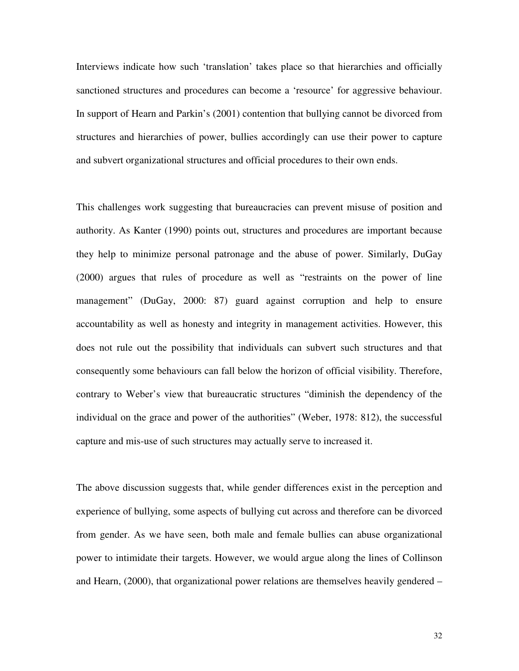Interviews indicate how such 'translation' takes place so that hierarchies and officially sanctioned structures and procedures can become a 'resource' for aggressive behaviour. In support of Hearn and Parkin's (2001) contention that bullying cannot be divorced from structures and hierarchies of power, bullies accordingly can use their power to capture and subvert organizational structures and official procedures to their own ends.

This challenges work suggesting that bureaucracies can prevent misuse of position and authority. As Kanter (1990) points out, structures and procedures are important because they help to minimize personal patronage and the abuse of power. Similarly, DuGay (2000) argues that rules of procedure as well as "restraints on the power of line management" (DuGay, 2000: 87) guard against corruption and help to ensure accountability as well as honesty and integrity in management activities. However, this does not rule out the possibility that individuals can subvert such structures and that consequently some behaviours can fall below the horizon of official visibility. Therefore, contrary to Weber's view that bureaucratic structures "diminish the dependency of the individual on the grace and power of the authorities" (Weber, 1978: 812), the successful capture and mis-use of such structures may actually serve to increased it.

The above discussion suggests that, while gender differences exist in the perception and experience of bullying, some aspects of bullying cut across and therefore can be divorced from gender. As we have seen, both male and female bullies can abuse organizational power to intimidate their targets. However, we would argue along the lines of Collinson and Hearn, (2000), that organizational power relations are themselves heavily gendered –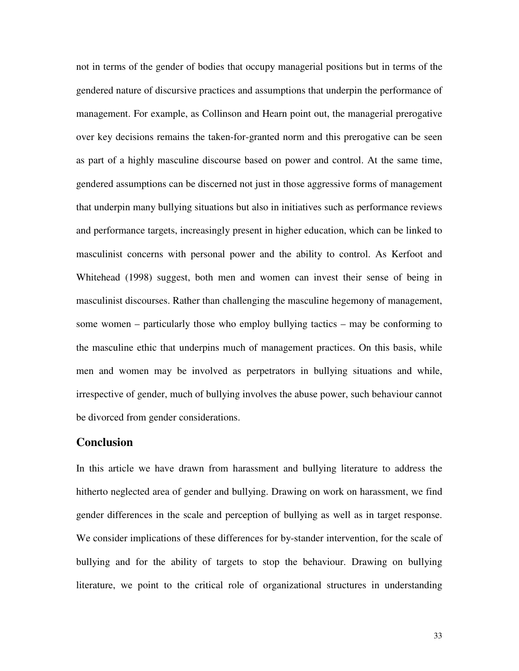not in terms of the gender of bodies that occupy managerial positions but in terms of the gendered nature of discursive practices and assumptions that underpin the performance of management. For example, as Collinson and Hearn point out, the managerial prerogative over key decisions remains the taken-for-granted norm and this prerogative can be seen as part of a highly masculine discourse based on power and control. At the same time, gendered assumptions can be discerned not just in those aggressive forms of management that underpin many bullying situations but also in initiatives such as performance reviews and performance targets, increasingly present in higher education, which can be linked to masculinist concerns with personal power and the ability to control. As Kerfoot and Whitehead (1998) suggest, both men and women can invest their sense of being in masculinist discourses. Rather than challenging the masculine hegemony of management, some women – particularly those who employ bullying tactics – may be conforming to the masculine ethic that underpins much of management practices. On this basis, while men and women may be involved as perpetrators in bullying situations and while, irrespective of gender, much of bullying involves the abuse power, such behaviour cannot be divorced from gender considerations.

#### **Conclusion**

In this article we have drawn from harassment and bullying literature to address the hitherto neglected area of gender and bullying. Drawing on work on harassment, we find gender differences in the scale and perception of bullying as well as in target response. We consider implications of these differences for by-stander intervention, for the scale of bullying and for the ability of targets to stop the behaviour. Drawing on bullying literature, we point to the critical role of organizational structures in understanding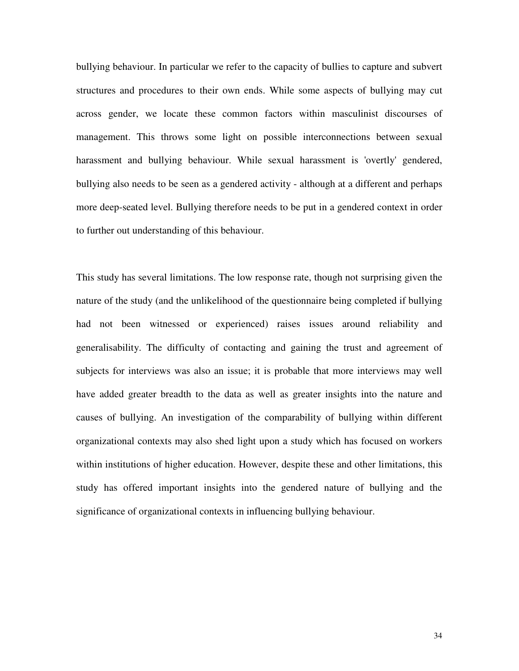bullying behaviour. In particular we refer to the capacity of bullies to capture and subvert structures and procedures to their own ends. While some aspects of bullying may cut across gender, we locate these common factors within masculinist discourses of management. This throws some light on possible interconnections between sexual harassment and bullying behaviour. While sexual harassment is 'overtly' gendered, bullying also needs to be seen as a gendered activity - although at a different and perhaps more deep-seated level. Bullying therefore needs to be put in a gendered context in order to further out understanding of this behaviour.

This study has several limitations. The low response rate, though not surprising given the nature of the study (and the unlikelihood of the questionnaire being completed if bullying had not been witnessed or experienced) raises issues around reliability and generalisability. The difficulty of contacting and gaining the trust and agreement of subjects for interviews was also an issue; it is probable that more interviews may well have added greater breadth to the data as well as greater insights into the nature and causes of bullying. An investigation of the comparability of bullying within different organizational contexts may also shed light upon a study which has focused on workers within institutions of higher education. However, despite these and other limitations, this study has offered important insights into the gendered nature of bullying and the significance of organizational contexts in influencing bullying behaviour.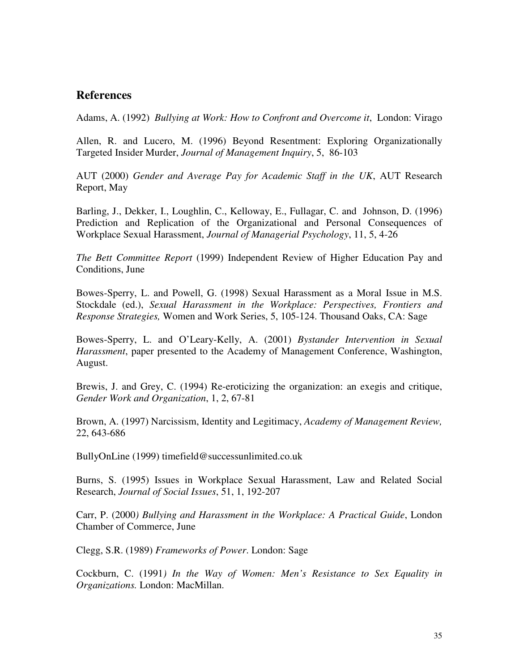### **References**

Adams, A. (1992) *Bullying at Work: How to Confront and Overcome it*, London: Virago

Allen, R. and Lucero, M. (1996) Beyond Resentment: Exploring Organizationally Targeted Insider Murder, *Journal of Management Inquiry*, 5, 86-103

AUT (2000) *Gender and Average Pay for Academic Staff in the UK*, AUT Research Report, May

Barling, J., Dekker, I., Loughlin, C., Kelloway, E., Fullagar, C. and Johnson, D. (1996) Prediction and Replication of the Organizational and Personal Consequences of Workplace Sexual Harassment, *Journal of Managerial Psychology*, 11, 5, 4-26

*The Bett Committee Report* (1999) Independent Review of Higher Education Pay and Conditions, June

Bowes-Sperry, L. and Powell, G. (1998) Sexual Harassment as a Moral Issue in M.S. Stockdale (ed.), *Sexual Harassment in the Workplace: Perspectives, Frontiers and Response Strategies,* Women and Work Series, 5, 105-124. Thousand Oaks, CA: Sage

Bowes-Sperry, L. and O'Leary-Kelly, A. (2001) *Bystander Intervention in Sexual Harassment*, paper presented to the Academy of Management Conference, Washington, August.

Brewis, J. and Grey, C. (1994) Re-eroticizing the organization: an exegis and critique, *Gender Work and Organization*, 1, 2, 67-81

Brown, A. (1997) Narcissism, Identity and Legitimacy, *Academy of Management Review,* 22, 643-686

BullyOnLine (1999) timefield@successunlimited.co.uk

Burns, S. (1995) Issues in Workplace Sexual Harassment, Law and Related Social Research, *Journal of Social Issues*, 51, 1, 192-207

Carr, P. (2000*) Bullying and Harassment in the Workplace: A Practical Guide*, London Chamber of Commerce, June

Clegg, S.R. (1989) *Frameworks of Power*. London: Sage

Cockburn, C. (1991*) In the Way of Women: Men's Resistance to Sex Equality in Organizations.* London: MacMillan.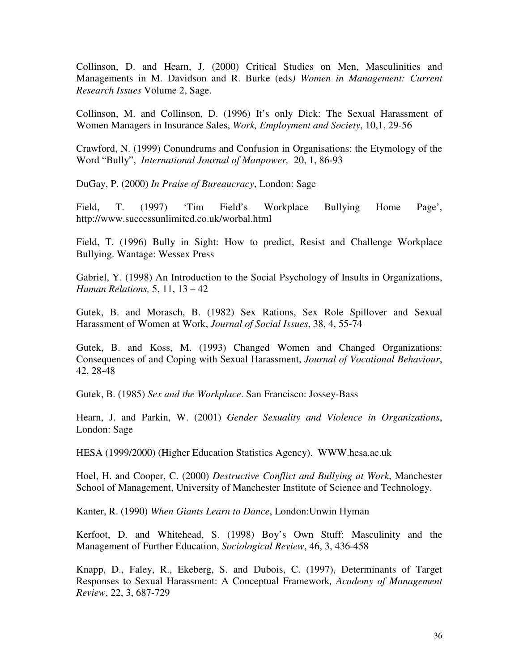Collinson, D. and Hearn, J. (2000) Critical Studies on Men, Masculinities and Managements in M. Davidson and R. Burke (eds*) Women in Management: Current Research Issues* Volume 2, Sage.

Collinson, M. and Collinson, D. (1996) It's only Dick: The Sexual Harassment of Women Managers in Insurance Sales, *Work, Employment and Society*, 10,1, 29-56

Crawford, N. (1999) Conundrums and Confusion in Organisations: the Etymology of the Word "Bully", *International Journal of Manpower,* 20, 1, 86-93

DuGay, P. (2000) *In Praise of Bureaucracy*, London: Sage

Field, T. (1997) 'Tim Field's Workplace Bullying Home Page', http://www.successunlimited.co.uk/worbal.html

Field, T. (1996) Bully in Sight: How to predict, Resist and Challenge Workplace Bullying. Wantage: Wessex Press

Gabriel, Y. (1998) An Introduction to the Social Psychology of Insults in Organizations, *Human Relations,* 5, 11, 13 – 42

Gutek, B. and Morasch, B. (1982) Sex Rations, Sex Role Spillover and Sexual Harassment of Women at Work, *Journal of Social Issues*, 38, 4, 55-74

Gutek, B. and Koss, M. (1993) Changed Women and Changed Organizations: Consequences of and Coping with Sexual Harassment, *Journal of Vocational Behaviour*, 42, 28-48

Gutek, B. (1985) *Sex and the Workplace*. San Francisco: Jossey-Bass

Hearn, J. and Parkin, W. (2001) *Gender Sexuality and Violence in Organizations*, London: Sage

HESA (1999/2000) (Higher Education Statistics Agency). WWW.hesa.ac.uk

Hoel, H. and Cooper, C. (2000) *Destructive Conflict and Bullying at Work*, Manchester School of Management, University of Manchester Institute of Science and Technology.

Kanter, R. (1990) *When Giants Learn to Dance*, London:Unwin Hyman

Kerfoot, D. and Whitehead, S. (1998) Boy's Own Stuff: Masculinity and the Management of Further Education, *Sociological Review*, 46, 3, 436-458

Knapp, D., Faley, R., Ekeberg, S. and Dubois, C. (1997), Determinants of Target Responses to Sexual Harassment: A Conceptual Framework*, Academy of Management Review*, 22, 3, 687-729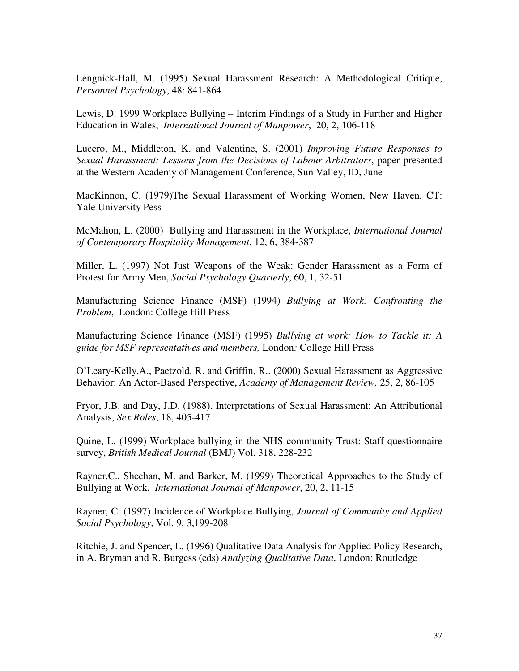Lengnick-Hall, M. (1995) Sexual Harassment Research: A Methodological Critique, *Personnel Psychology*, 48: 841-864

Lewis, D. 1999 Workplace Bullying – Interim Findings of a Study in Further and Higher Education in Wales, *International Journal of Manpower*, 20, 2, 106-118

Lucero, M., Middleton, K. and Valentine, S. (2001) *Improving Future Responses to Sexual Harassment: Lessons from the Decisions of Labour Arbitrators*, paper presented at the Western Academy of Management Conference, Sun Valley, ID, June

MacKinnon, C. (1979)The Sexual Harassment of Working Women, New Haven, CT: Yale University Pess

McMahon, L. (2000) Bullying and Harassment in the Workplace, *International Journal of Contemporary Hospitality Management*, 12, 6, 384-387

Miller, L. (1997) Not Just Weapons of the Weak: Gender Harassment as a Form of Protest for Army Men, *Social Psychology Quarterly*, 60, 1, 32-51

Manufacturing Science Finance (MSF) (1994) *Bullying at Work: Confronting the Problem*, London: College Hill Press

Manufacturing Science Finance (MSF) (1995) *Bullying at work: How to Tackle it: A guide for MSF representatives and members,* London*:* College Hill Press

O'Leary-Kelly,A., Paetzold, R. and Griffin, R.. (2000) Sexual Harassment as Aggressive Behavior: An Actor-Based Perspective, *Academy of Management Review,* 25, 2, 86-105

Pryor, J.B. and Day, J.D. (1988). Interpretations of Sexual Harassment: An Attributional Analysis, *Sex Roles*, 18, 405-417

Quine, L. (1999) Workplace bullying in the NHS community Trust: Staff questionnaire survey, *British Medical Journal* (BMJ) Vol. 318, 228-232

Rayner,C., Sheehan, M. and Barker, M. (1999) Theoretical Approaches to the Study of Bullying at Work, *International Journal of Manpower*, 20, 2, 11-15

Rayner, C. (1997) Incidence of Workplace Bullying, *Journal of Community and Applied Social Psychology*, Vol. 9, 3,199-208

Ritchie, J. and Spencer, L. (1996) Qualitative Data Analysis for Applied Policy Research, in A. Bryman and R. Burgess (eds) *Analyzing Qualitative Data*, London: Routledge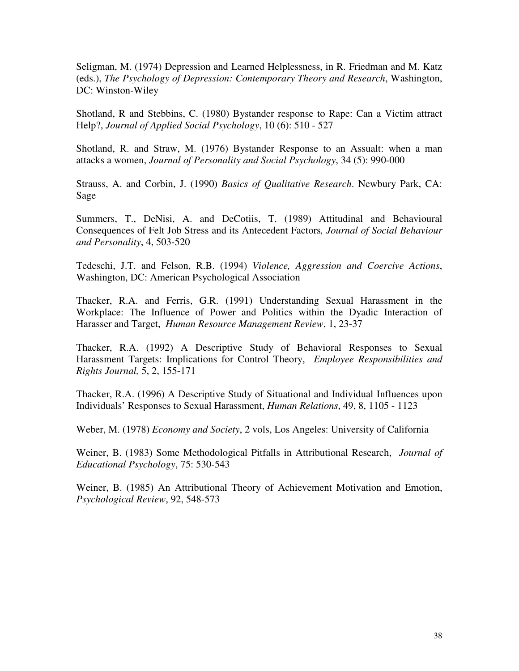Seligman, M. (1974) Depression and Learned Helplessness, in R. Friedman and M. Katz (eds.), *The Psychology of Depression: Contemporary Theory and Research*, Washington, DC: Winston-Wiley

Shotland, R and Stebbins, C. (1980) Bystander response to Rape: Can a Victim attract Help?, *Journal of Applied Social Psychology*, 10 (6): 510 - 527

Shotland, R. and Straw, M. (1976) Bystander Response to an Assualt: when a man attacks a women, *Journal of Personality and Social Psychology*, 34 (5): 990-000

Strauss, A. and Corbin, J. (1990) *Basics of Qualitative Research*. Newbury Park, CA: Sage

Summers, T., DeNisi, A. and DeCotiis, T. (1989) Attitudinal and Behavioural Consequences of Felt Job Stress and its Antecedent Factors*, Journal of Social Behaviour and Personality*, 4, 503-520

Tedeschi, J.T. and Felson, R.B. (1994) *Violence, Aggression and Coercive Actions*, Washington, DC: American Psychological Association

Thacker, R.A. and Ferris, G.R. (1991) Understanding Sexual Harassment in the Workplace: The Influence of Power and Politics within the Dyadic Interaction of Harasser and Target, *Human Resource Management Review*, 1, 23-37

Thacker, R.A. (1992) A Descriptive Study of Behavioral Responses to Sexual Harassment Targets: Implications for Control Theory, *Employee Responsibilities and Rights Journal,* 5, 2, 155-171

Thacker, R.A. (1996) A Descriptive Study of Situational and Individual Influences upon Individuals' Responses to Sexual Harassment, *Human Relations*, 49, 8, 1105 - 1123

Weber, M. (1978) *Economy and Society*, 2 vols, Los Angeles: University of California

Weiner, B. (1983) Some Methodological Pitfalls in Attributional Research, *Journal of Educational Psychology*, 75: 530-543

Weiner, B. (1985) An Attributional Theory of Achievement Motivation and Emotion, *Psychological Review*, 92, 548-573